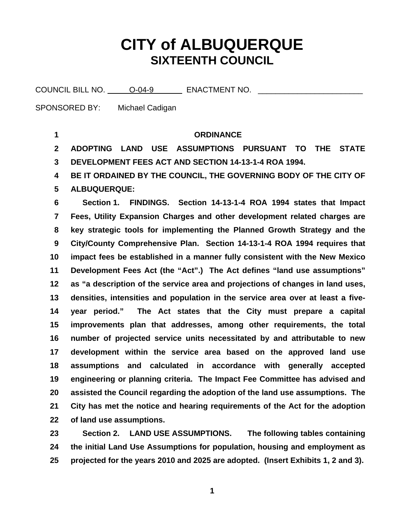# **CITY of ALBUQUERQUE SIXTEENTH COUNCIL**

COUNCIL BILL NO. \_\_\_\_\_ O-04-9 ENACTMENT NO. \_\_\_\_\_\_\_\_\_

SPONSORED BY: Michael Cadigan

**17** 

**18** 

**19** 

**20** 

**21** 

**22** 

**of land use assumptions.** 

**1 2 3 4 5 6 7 8 9 10 11 12 13 14 15 16 ORDINANCE ADOPTING LAND USE ASSUMPTIONS PURSUANT TO THE STATE DEVELOPMENT FEES ACT AND SECTION 14-13-1-4 ROA 1994. BE IT ORDAINED BY THE COUNCIL, THE GOVERNING BODY OF THE CITY OF ALBUQUERQUE: Section 1. FINDINGS. Section 14-13-1-4 ROA 1994 states that Impact Fees, Utility Expansion Charges and other development related charges are key strategic tools for implementing the Planned Growth Strategy and the City/County Comprehensive Plan. Section 14-13-1-4 ROA 1994 requires that impact fees be established in a manner fully consistent with the New Mexico Development Fees Act (the "Act".) The Act defines "land use assumptions" as "a description of the service area and projections of changes in land uses, densities, intensities and population in the service area over at least a fiveyear period." The Act states that the City must prepare a capital improvements plan that addresses, among other requirements, the total number of projected service units necessitated by and attributable to new**

**23 24 25 Section 2. LAND USE ASSUMPTIONS. The following tables containing the initial Land Use Assumptions for population, housing and employment as projected for the years 2010 and 2025 are adopted. (Insert Exhibits 1, 2 and 3).** 

**development within the service area based on the approved land use** 

**assumptions and calculated in accordance with generally accepted**

**engineering or planning criteria. The Impact Fee Committee has advised and**

**assisted the Council regarding the adoption of the land use assumptions. The** 

**City has met the notice and hearing requirements of the Act for the adoption** 

**1**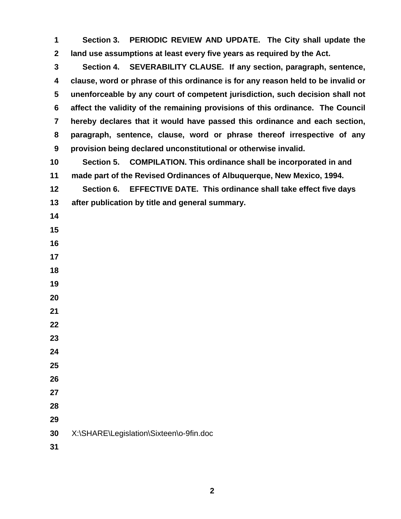**Section 3. PERIODIC REVIEW AND UPDATE. The City shall update the land use assumptions at least every five years as required by the Act.** 

 **Section 4. SEVERABILITY CLAUSE. If any section, paragraph, sentence, clause, word or phrase of this ordinance is for any reason held to be invalid or unenforceable by any court of competent jurisdiction, such decision shall not affect the validity of the remaining provisions of this ordinance. The Council hereby declares that it would have passed this ordinance and each section, paragraph, sentence, clause, word or phrase thereof irrespective of any provision being declared unconstitutional or otherwise invalid.** 

 **Section 5. COMPILATION. This ordinance shall be incorporated in and made part of the Revised Ordinances of Albuquerque, New Mexico, 1994.** 

 **Section 6. EFFECTIVE DATE. This ordinance shall take effect five days after publication by title and general summary.** 

- 
- 
- 
- 

- 
- 
- 
- 
- 
- 
- 
- 
- 
- 
- X:\SHARE\Legislation\Sixteen\o-9fin.doc
-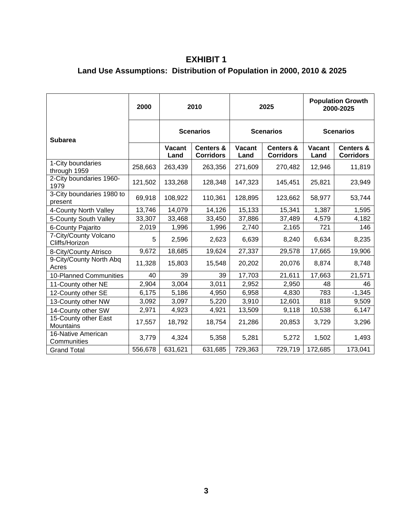#### **EXHIBIT 1 Land Use Assumptions: Distribution of Population in 2000, 2010 & 2025**

|                                         | 2000    | 2010             |                                          | 2025                  |                                          | <b>Population Growth</b><br>2000-2025 |                                          |
|-----------------------------------------|---------|------------------|------------------------------------------|-----------------------|------------------------------------------|---------------------------------------|------------------------------------------|
| <b>Subarea</b>                          |         | <b>Scenarios</b> |                                          | <b>Scenarios</b>      |                                          | <b>Scenarios</b>                      |                                          |
|                                         |         | Vacant<br>Land   | <b>Centers &amp;</b><br><b>Corridors</b> | <b>Vacant</b><br>Land | <b>Centers &amp;</b><br><b>Corridors</b> | <b>Vacant</b><br>Land                 | <b>Centers &amp;</b><br><b>Corridors</b> |
| 1-City boundaries<br>through 1959       | 258,663 | 263,439          | 263,356                                  | 271,609               | 270,482                                  | 12,946                                | 11,819                                   |
| 2-City boundaries 1960-<br>1979         | 121,502 | 133,268          | 128,348                                  | 147,323               | 145,451                                  | 25,821                                | 23,949                                   |
| 3-City boundaries 1980 to<br>present    | 69,918  | 108,922          | 110,361                                  | 128,895               | 123,662                                  | 58,977                                | 53,744                                   |
| 4-County North Valley                   | 13,746  | 14,079           | 14,126                                   | 15,133                | 15,341                                   | 1,387                                 | 1,595                                    |
| 5-County South Valley                   | 33,307  | 33,468           | 33,450                                   | 37,886                | 37,489                                   | 4,579                                 | 4,182                                    |
| 6-County Pajarito                       | 2,019   | 1,996            | 1,996                                    | 2,740                 | 2,165                                    | 721                                   | 146                                      |
| 7-City/County Volcano<br>Cliffs/Horizon | 5       | 2,596            | 2,623                                    | 6,639                 | 8,240                                    | 6,634                                 | 8,235                                    |
| 8-City/County Atrisco                   | 9,672   | 18,685           | 19,624                                   | 27,337                | 29,578                                   | 17,665                                | 19,906                                   |
| 9-City/County North Abq<br>Acres        | 11,328  | 15,803           | 15,548                                   | 20,202                | 20,076                                   | 8,874                                 | 8,748                                    |
| 10-Planned Communities                  | 40      | 39               | 39                                       | 17,703                | 21,611                                   | 17,663                                | 21,571                                   |
| 11-County other NE                      | 2,904   | 3,004            | 3,011                                    | 2,952                 | 2,950                                    | 48                                    | 46                                       |
| 12-County other SE                      | 6,175   | 5,186            | 4,950                                    | 6,958                 | 4,830                                    | 783                                   | $-1,345$                                 |
| 13-County other NW                      | 3,092   | 3,097            | 5,220                                    | 3,910                 | 12,601                                   | 818                                   | 9,509                                    |
| 14-County other SW                      | 2,971   | 4,923            | 4,921                                    | 13,509                | 9,118                                    | 10,538                                | 6,147                                    |
| 15-County other East<br>Mountains       | 17,557  | 18,792           | 18,754                                   | 21,286                | 20,853                                   | 3,729                                 | 3,296                                    |
| 16-Native American<br>Communities       | 3,779   | 4,324            | 5,358                                    | 5,281                 | 5,272                                    | 1,502                                 | 1,493                                    |
| <b>Grand Total</b>                      | 556,678 | 631,621          | 631,685                                  | 729,363               | 729,719                                  | 172,685                               | 173,041                                  |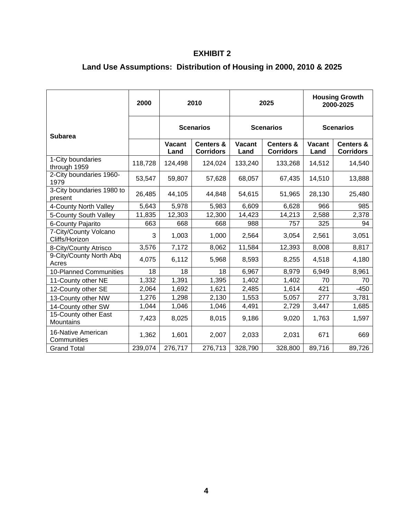#### **EXHIBIT 2**

## **Land Use Assumptions: Distribution of Housing in 2000, 2010 & 2025**

|                                         | 2000    | 2010                  |                                          | 2025                  |                                          | <b>Housing Growth</b><br>2000-2025 |                                          |
|-----------------------------------------|---------|-----------------------|------------------------------------------|-----------------------|------------------------------------------|------------------------------------|------------------------------------------|
| <b>Subarea</b>                          |         | <b>Scenarios</b>      |                                          | <b>Scenarios</b>      |                                          | <b>Scenarios</b>                   |                                          |
|                                         |         | <b>Vacant</b><br>Land | <b>Centers &amp;</b><br><b>Corridors</b> | <b>Vacant</b><br>Land | <b>Centers &amp;</b><br><b>Corridors</b> | <b>Vacant</b><br>Land              | <b>Centers &amp;</b><br><b>Corridors</b> |
| 1-City boundaries<br>through 1959       | 118,728 | 124,498               | 124,024                                  | 133,240               | 133,268                                  | 14,512                             | 14,540                                   |
| 2-City boundaries 1960-<br>1979         | 53,547  | 59,807                | 57,628                                   | 68,057                | 67,435                                   | 14,510                             | 13,888                                   |
| 3-City boundaries 1980 to<br>present    | 26,485  | 44,105                | 44,848                                   | 54,615                | 51,965                                   | 28,130                             | 25,480                                   |
| 4-County North Valley                   | 5,643   | 5,978                 | 5,983                                    | 6,609                 | 6,628                                    | 966                                | 985                                      |
| 5-County South Valley                   | 11,835  | 12,303                | 12,300                                   | 14,423                | 14,213                                   | 2,588                              | 2,378                                    |
| 6-County Pajarito                       | 663     | 668                   | 668                                      | 988                   | 757                                      | 325                                | 94                                       |
| 7-City/County Volcano<br>Cliffs/Horizon | 3       | 1,003                 | 1,000                                    | 2,564                 | 3,054                                    | 2,561                              | 3,051                                    |
| 8-City/County Atrisco                   | 3,576   | 7,172                 | 8,062                                    | 11,584                | 12,393                                   | 8,008                              | 8,817                                    |
| 9-City/County North Abq<br>Acres        | 4,075   | 6,112                 | 5,968                                    | 8,593                 | 8,255                                    | 4,518                              | 4,180                                    |
| 10-Planned Communities                  | 18      | 18                    | 18                                       | 6,967                 | 8,979                                    | 6,949                              | 8,961                                    |
| 11-County other NE                      | 1,332   | 1,391                 | 1,395                                    | 1,402                 | 1,402                                    | 70                                 | 70                                       |
| 12-County other SE                      | 2,064   | 1,692                 | 1,621                                    | 2,485                 | 1,614                                    | 421                                | $-450$                                   |
| 13-County other NW                      | 1,276   | 1,298                 | 2,130                                    | 1,553                 | 5,057                                    | 277                                | 3,781                                    |
| 14-County other SW                      | 1,044   | 1,046                 | 1,046                                    | 4,491                 | 2,729                                    | 3,447                              | 1,685                                    |
| 15-County other East<br>Mountains       | 7,423   | 8,025                 | 8,015                                    | 9,186                 | 9,020                                    | 1,763                              | 1,597                                    |
| 16-Native American<br>Communities       | 1,362   | 1,601                 | 2,007                                    | 2,033                 | 2,031                                    | 671                                | 669                                      |
| <b>Grand Total</b>                      | 239,074 | 276,717               | 276,713                                  | 328,790               | 328,800                                  | 89,716                             | 89,726                                   |